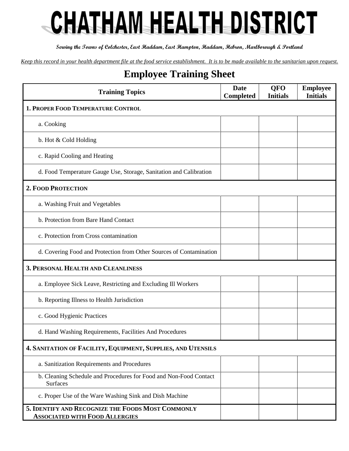## CHATHAM HEALTH DISTRICT

**Serving the Towns of Colchester, East Haddam, East Hampton, Haddam, Hebron, Marlborough & Portland**

*Keep this record in your health department file at the food service establishment. It is to be made available to the sanitarian upon request.*

## **Employee Training Sheet**

| <b>Training Topics</b>                                                                     | <b>Date</b><br><b>Completed</b> | <b>QFO</b><br><b>Initials</b> | <b>Employee</b><br><b>Initials</b> |
|--------------------------------------------------------------------------------------------|---------------------------------|-------------------------------|------------------------------------|
| 1. PROPER FOOD TEMPERATURE CONTROL                                                         |                                 |                               |                                    |
| a. Cooking                                                                                 |                                 |                               |                                    |
| b. Hot & Cold Holding                                                                      |                                 |                               |                                    |
| c. Rapid Cooling and Heating                                                               |                                 |                               |                                    |
| d. Food Temperature Gauge Use, Storage, Sanitation and Calibration                         |                                 |                               |                                    |
| <b>2. FOOD PROTECTION</b>                                                                  |                                 |                               |                                    |
| a. Washing Fruit and Vegetables                                                            |                                 |                               |                                    |
| b. Protection from Bare Hand Contact                                                       |                                 |                               |                                    |
| c. Protection from Cross contamination                                                     |                                 |                               |                                    |
| d. Covering Food and Protection from Other Sources of Contamination                        |                                 |                               |                                    |
| <b>3. PERSONAL HEALTH AND CLEANLINESS</b>                                                  |                                 |                               |                                    |
| a. Employee Sick Leave, Restricting and Excluding III Workers                              |                                 |                               |                                    |
| b. Reporting Illness to Health Jurisdiction                                                |                                 |                               |                                    |
| c. Good Hygienic Practices                                                                 |                                 |                               |                                    |
| d. Hand Washing Requirements, Facilities And Procedures                                    |                                 |                               |                                    |
| 4. SANITATION OF FACILITY, EQUIPMENT, SUPPLIES, AND UTENSILS                               |                                 |                               |                                    |
| a. Sanitization Requirements and Procedures                                                |                                 |                               |                                    |
| b. Cleaning Schedule and Procedures for Food and Non-Food Contact<br><b>Surfaces</b>       |                                 |                               |                                    |
| c. Proper Use of the Ware Washing Sink and Dish Machine                                    |                                 |                               |                                    |
| 5. IDENTIFY AND RECOGNIZE THE FOODS MOST COMMONLY<br><b>ASSOCIATED WITH FOOD ALLERGIES</b> |                                 |                               |                                    |